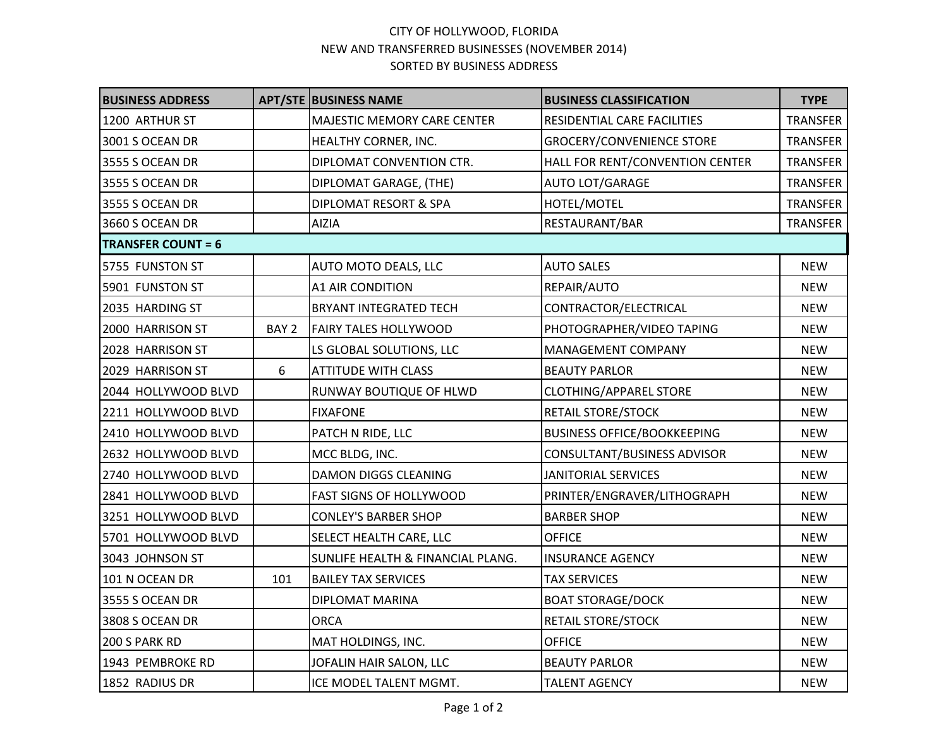## CITY OF HOLLYWOOD, FLORIDA NEW AND TRANSFERRED BUSINESSES (NOVEMBER 2014) SORTED BY BUSINESS ADDRESS

| <b>BUSINESS ADDRESS</b>   |                  | <b>APT/STE BUSINESS NAME</b>      | <b>BUSINESS CLASSIFICATION</b>     | <b>TYPE</b>     |  |  |
|---------------------------|------------------|-----------------------------------|------------------------------------|-----------------|--|--|
| 1200 ARTHUR ST            |                  | MAJESTIC MEMORY CARE CENTER       | RESIDENTIAL CARE FACILITIES        | TRANSFER        |  |  |
| 3001 S OCEAN DR           |                  | HEALTHY CORNER, INC.              | <b>GROCERY/CONVENIENCE STORE</b>   | <b>TRANSFER</b> |  |  |
| 3555 S OCEAN DR           |                  | DIPLOMAT CONVENTION CTR.          | HALL FOR RENT/CONVENTION CENTER    | <b>TRANSFER</b> |  |  |
| 3555 S OCEAN DR           |                  | DIPLOMAT GARAGE, (THE)            | <b>AUTO LOT/GARAGE</b>             | <b>TRANSFER</b> |  |  |
| 3555 S OCEAN DR           |                  | DIPLOMAT RESORT & SPA             | HOTEL/MOTEL                        | <b>TRANSFER</b> |  |  |
| 3660 S OCEAN DR           |                  | AIZIA                             | RESTAURANT/BAR                     | <b>TRANSFER</b> |  |  |
| <b>TRANSFER COUNT = 6</b> |                  |                                   |                                    |                 |  |  |
| 5755 FUNSTON ST           |                  | AUTO MOTO DEALS, LLC              | <b>AUTO SALES</b>                  | <b>NEW</b>      |  |  |
| 5901 FUNSTON ST           |                  | <b>A1 AIR CONDITION</b>           | REPAIR/AUTO                        | <b>NEW</b>      |  |  |
| 2035 HARDING ST           |                  | <b>BRYANT INTEGRATED TECH</b>     | CONTRACTOR/ELECTRICAL              | <b>NEW</b>      |  |  |
| 2000 HARRISON ST          | BAY <sub>2</sub> | <b>FAIRY TALES HOLLYWOOD</b>      | PHOTOGRAPHER/VIDEO TAPING          | <b>NEW</b>      |  |  |
| 2028 HARRISON ST          |                  | LS GLOBAL SOLUTIONS, LLC          | MANAGEMENT COMPANY                 | <b>NEW</b>      |  |  |
| 2029 HARRISON ST          | 6                | <b>ATTITUDE WITH CLASS</b>        | <b>BEAUTY PARLOR</b>               | <b>NEW</b>      |  |  |
| 2044 HOLLYWOOD BLVD       |                  | RUNWAY BOUTIQUE OF HLWD           | <b>CLOTHING/APPAREL STORE</b>      | <b>NEW</b>      |  |  |
| 2211 HOLLYWOOD BLVD       |                  | <b>FIXAFONE</b>                   | <b>RETAIL STORE/STOCK</b>          | <b>NEW</b>      |  |  |
| 2410 HOLLYWOOD BLVD       |                  | PATCH N RIDE, LLC                 | <b>BUSINESS OFFICE/BOOKKEEPING</b> | <b>NEW</b>      |  |  |
| 2632 HOLLYWOOD BLVD       |                  | MCC BLDG, INC.                    | CONSULTANT/BUSINESS ADVISOR        | <b>NEW</b>      |  |  |
| 2740 HOLLYWOOD BLVD       |                  | <b>DAMON DIGGS CLEANING</b>       | <b>JANITORIAL SERVICES</b>         | <b>NEW</b>      |  |  |
| 2841 HOLLYWOOD BLVD       |                  | <b>FAST SIGNS OF HOLLYWOOD</b>    | PRINTER/ENGRAVER/LITHOGRAPH        | <b>NEW</b>      |  |  |
| 3251 HOLLYWOOD BLVD       |                  | <b>CONLEY'S BARBER SHOP</b>       | <b>BARBER SHOP</b>                 | <b>NEW</b>      |  |  |
| 5701 HOLLYWOOD BLVD       |                  | SELECT HEALTH CARE, LLC           | <b>OFFICE</b>                      | <b>NEW</b>      |  |  |
| 3043 JOHNSON ST           |                  | SUNLIFE HEALTH & FINANCIAL PLANG. | <b>INSURANCE AGENCY</b>            | <b>NEW</b>      |  |  |
| 101 N OCEAN DR            | 101              | <b>BAILEY TAX SERVICES</b>        | <b>TAX SERVICES</b>                | <b>NEW</b>      |  |  |
| 3555 S OCEAN DR           |                  | DIPLOMAT MARINA                   | <b>BOAT STORAGE/DOCK</b>           | <b>NEW</b>      |  |  |
| 3808 S OCEAN DR           |                  | <b>ORCA</b>                       | <b>RETAIL STORE/STOCK</b>          | <b>NEW</b>      |  |  |
| 200 S PARK RD             |                  | MAT HOLDINGS, INC.                | <b>OFFICE</b>                      | <b>NEW</b>      |  |  |
| 1943 PEMBROKE RD          |                  | JOFALIN HAIR SALON, LLC           | <b>BEAUTY PARLOR</b>               | <b>NEW</b>      |  |  |
| 1852 RADIUS DR            |                  | ICE MODEL TALENT MGMT.            | <b>TALENT AGENCY</b>               | <b>NEW</b>      |  |  |